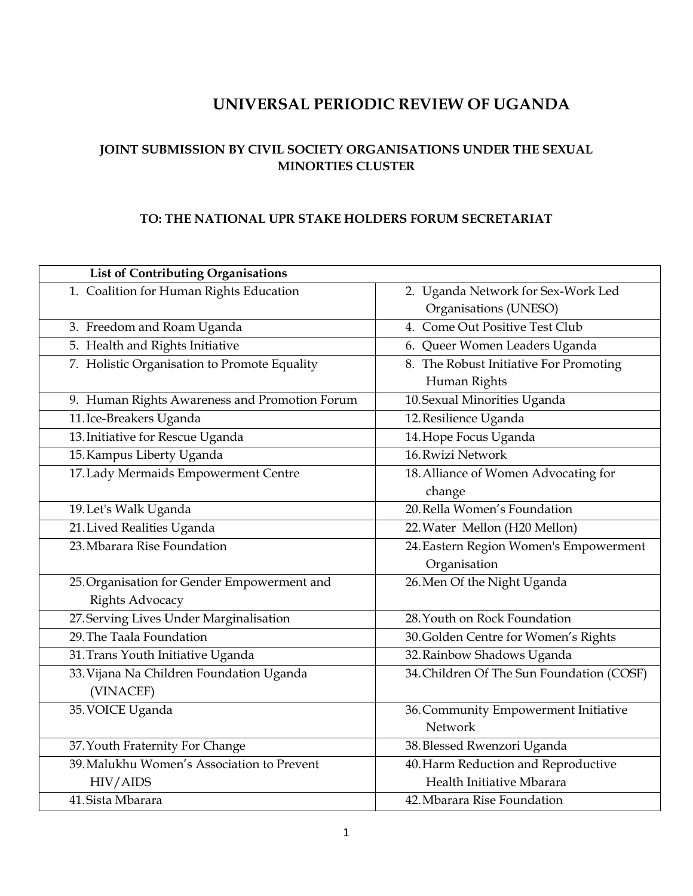# <span id="page-0-0"></span>**UNIVERSAL PERIODIC REVIEW OF UGANDA**

# **JOINT SUBMISSION BY CIVIL SOCIETY ORGANISATIONS UNDER THE SEXUAL MINORTIES CLUSTER**

#### **TO: THE NATIONAL UPR STAKE HOLDERS FORUM SECRETARIAT**

| List of Contributing Organisations            |                                           |
|-----------------------------------------------|-------------------------------------------|
| 1. Coalition for Human Rights Education       | 2. Uganda Network for Sex-Work Led        |
|                                               | Organisations (UNESO)                     |
| 3. Freedom and Roam Uganda                    | 4. Come Out Positive Test Club            |
| 5. Health and Rights Initiative               | 6. Queer Women Leaders Uganda             |
| 7. Holistic Organisation to Promote Equality  | 8. The Robust Initiative For Promoting    |
|                                               | Human Rights                              |
| 9. Human Rights Awareness and Promotion Forum | 10. Sexual Minorities Uganda              |
| 11. Ice-Breakers Uganda                       | 12. Resilience Uganda                     |
| 13. Initiative for Rescue Uganda              | 14. Hope Focus Uganda                     |
| 15. Kampus Liberty Uganda                     | 16. Rwizi Network                         |
| 17. Lady Mermaids Empowerment Centre          | 18. Alliance of Women Advocating for      |
|                                               | change                                    |
| 19. Let's Walk Uganda                         | 20. Rella Women's Foundation              |
| 21. Lived Realities Uganda                    | 22. Water Mellon (H20 Mellon)             |
| 23. Mbarara Rise Foundation                   | 24. Eastern Region Women's Empowerment    |
|                                               | Organisation                              |
| 25. Organisation for Gender Empowerment and   | 26. Men Of the Night Uganda               |
| <b>Rights Advocacy</b>                        |                                           |
| 27. Serving Lives Under Marginalisation       | 28. Youth on Rock Foundation              |
| 29. The Taala Foundation                      | 30. Golden Centre for Women's Rights      |
| 31. Trans Youth Initiative Uganda             | 32. Rainbow Shadows Uganda                |
| 33. Vijana Na Children Foundation Uganda      | 34. Children Of The Sun Foundation (COSF) |
| (VINACEF)                                     |                                           |
| 35. VOICE Uganda                              | 36. Community Empowerment Initiative      |
|                                               | Network                                   |
| 37. Youth Fraternity For Change               | 38. Blessed Rwenzori Uganda               |
| 39. Malukhu Women's Association to Prevent    | 40. Harm Reduction and Reproductive       |
| HIV/AIDS                                      | Health Initiative Mbarara                 |
| 41. Sista Mbarara                             | 42. Mbarara Rise Foundation               |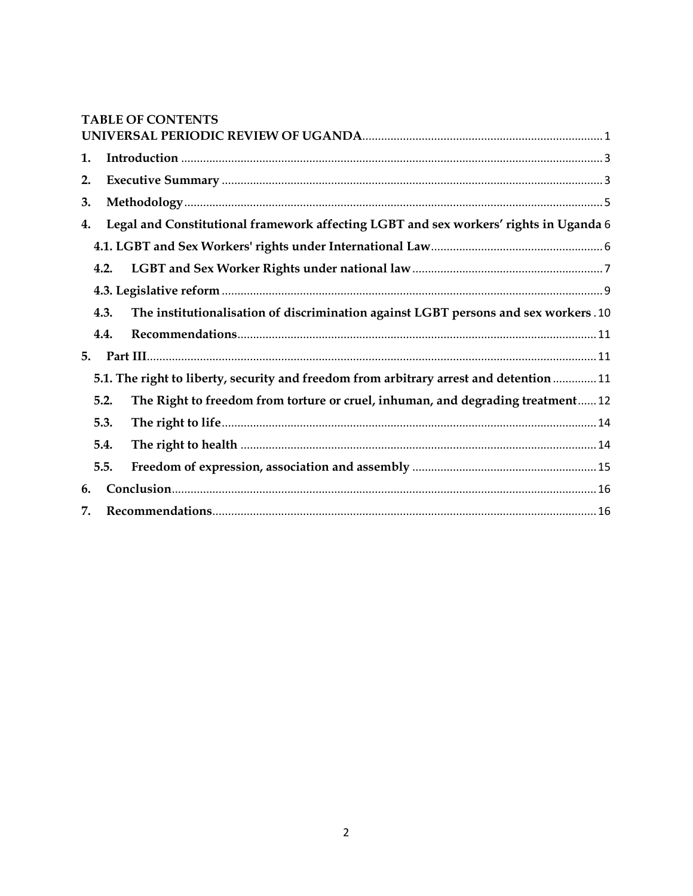|    |      | <b>TABLE OF CONTENTS</b>                                                                |
|----|------|-----------------------------------------------------------------------------------------|
|    |      |                                                                                         |
| 1. |      |                                                                                         |
| 2. |      |                                                                                         |
| 3. |      |                                                                                         |
| 4. |      | Legal and Constitutional framework affecting LGBT and sex workers' rights in Uganda 6   |
|    |      |                                                                                         |
|    | 4.2. |                                                                                         |
|    |      |                                                                                         |
|    | 4.3. | The institutionalisation of discrimination against LGBT persons and sex workers.10      |
|    | 4.4. |                                                                                         |
| 5. |      |                                                                                         |
|    |      | 5.1. The right to liberty, security and freedom from arbitrary arrest and detention  11 |
|    | 5.2. | The Right to freedom from torture or cruel, inhuman, and degrading treatment12          |
|    | 5.3. |                                                                                         |
|    | 5.4. |                                                                                         |
|    | 5.5. |                                                                                         |
| 6. |      |                                                                                         |
| 7. |      |                                                                                         |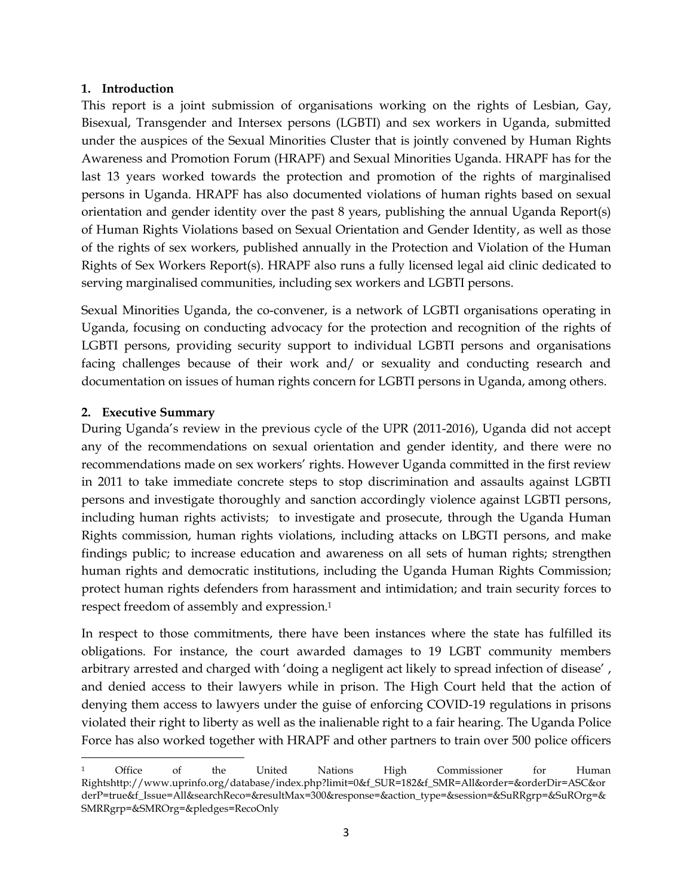#### <span id="page-2-0"></span>**1. Introduction**

This report is a joint submission of organisations working on the rights of Lesbian, Gay, Bisexual, Transgender and Intersex persons (LGBTI) and sex workers in Uganda, submitted under the auspices of the Sexual Minorities Cluster that is jointly convened by Human Rights Awareness and Promotion Forum (HRAPF) and Sexual Minorities Uganda. HRAPF has for the last 13 years worked towards the protection and promotion of the rights of marginalised persons in Uganda. HRAPF has also documented violations of human rights based on sexual orientation and gender identity over the past 8 years, publishing the annual Uganda Report(s) of Human Rights Violations based on Sexual Orientation and Gender Identity, as well as those of the rights of sex workers, published annually in the Protection and Violation of the Human Rights of Sex Workers Report(s). HRAPF also runs a fully licensed legal aid clinic dedicated to serving marginalised communities, including sex workers and LGBTI persons.

Sexual Minorities Uganda, the co-convener, is a network of LGBTI organisations operating in Uganda, focusing on conducting advocacy for the protection and recognition of the rights of LGBTI persons, providing security support to individual LGBTI persons and organisations facing challenges because of their work and/ or sexuality and conducting research and documentation on issues of human rights concern for LGBTI persons in Uganda, among others.

#### <span id="page-2-1"></span>**2. Executive Summary**

During Uganda's review in the previous cycle of the UPR (2011-2016), Uganda did not accept any of the recommendations on sexual orientation and gender identity, and there were no recommendations made on sex workers' rights. However Uganda committed in the first review in 2011 to take immediate concrete steps to stop discrimination and assaults against LGBTI persons and investigate thoroughly and sanction accordingly violence against LGBTI persons, including human rights activists; to investigate and prosecute, through the Uganda Human Rights commission, human rights violations, including attacks on LBGTI persons, and make findings public; to increase education and awareness on all sets of human rights; strengthen human rights and democratic institutions, including the Uganda Human Rights Commission; protect human rights defenders from harassment and intimidation; and train security forces to respect freedom of assembly and expression. 1

In respect to those commitments, there have been instances where the state has fulfilled its obligations. For instance, the court awarded damages to 19 LGBT community members arbitrary arrested and charged with 'doing a negligent act likely to spread infection of disease' , and denied access to their lawyers while in prison. The High Court held that the action of denying them access to lawyers under the guise of enforcing COVID-19 regulations in prisons violated their right to liberty as well as the inalienable right to a fair hearing. The Uganda Police Force has also worked together with HRAPF and other partners to train over 500 police officers

 $\overline{\phantom{a}}$ <sup>1</sup> Office of the United Nations High Commissioner for Human Rightshttp://www.uprinfo.org/database/index.php?limit=0&f\_SUR=182&f\_SMR=All&order=&orderDir=ASC&or derP=true&f\_Issue=All&searchReco=&resultMax=300&response=&action\_type=&session=&SuRRgrp=&SuROrg=& SMRRgrp=&SMROrg=&pledges=RecoOnly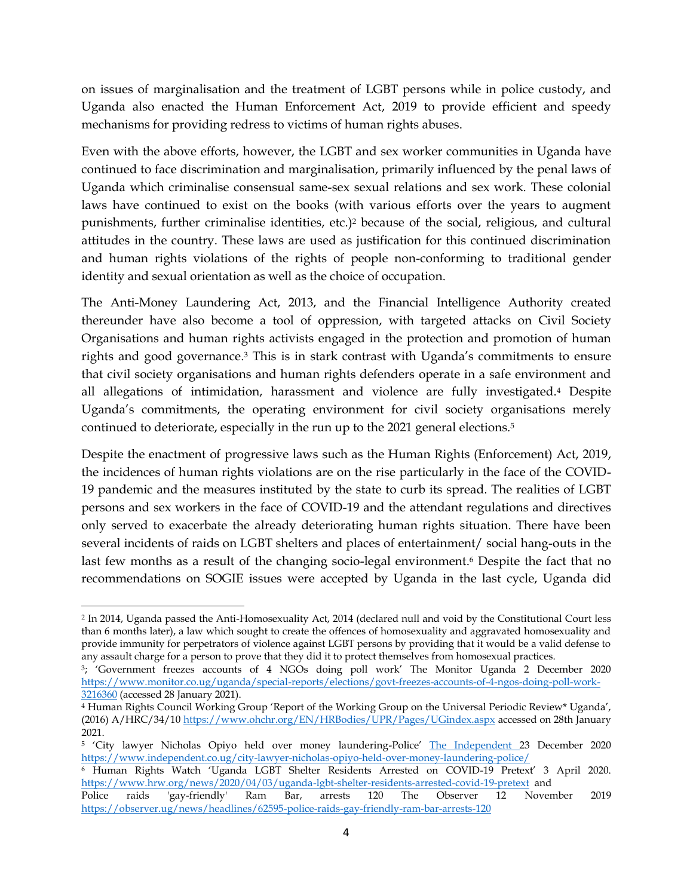on issues of marginalisation and the treatment of LGBT persons while in police custody, and Uganda also enacted the Human Enforcement Act, 2019 to provide efficient and speedy mechanisms for providing redress to victims of human rights abuses.

Even with the above efforts, however, the LGBT and sex worker communities in Uganda have continued to face discrimination and marginalisation, primarily influenced by the penal laws of Uganda which criminalise consensual same-sex sexual relations and sex work. These colonial laws have continued to exist on the books (with various efforts over the years to augment punishments, further criminalise identities, etc.) <sup>2</sup> because of the social, religious, and cultural attitudes in the country. These laws are used as justification for this continued discrimination and human rights violations of the rights of people non-conforming to traditional gender identity and sexual orientation as well as the choice of occupation.

The Anti-Money Laundering Act, 2013, and the Financial Intelligence Authority created thereunder have also become a tool of oppression, with targeted attacks on Civil Society Organisations and human rights activists engaged in the protection and promotion of human rights and good governance. <sup>3</sup> This is in stark contrast with Uganda's commitments to ensure that civil society organisations and human rights defenders operate in a safe environment and all allegations of intimidation, harassment and violence are fully investigated.<sup>4</sup> Despite Uganda's commitments, the operating environment for civil society organisations merely continued to deteriorate, especially in the run up to the 2021 general elections.<sup>5</sup>

Despite the enactment of progressive laws such as the Human Rights (Enforcement) Act, 2019, the incidences of human rights violations are on the rise particularly in the face of the COVID-19 pandemic and the measures instituted by the state to curb its spread. The realities of LGBT persons and sex workers in the face of COVID-19 and the attendant regulations and directives only served to exacerbate the already deteriorating human rights situation. There have been several incidents of raids on LGBT shelters and places of entertainment/ social hang-outs in the last few months as a result of the changing socio-legal environment. <sup>6</sup> Despite the fact that no recommendations on SOGIE issues were accepted by Uganda in the last cycle, Uganda did

 $\overline{a}$ <sup>2</sup> In 2014, Uganda passed the Anti-Homosexuality Act, 2014 (declared null and void by the Constitutional Court less than 6 months later), a law which sought to create the offences of homosexuality and aggravated homosexuality and provide immunity for perpetrators of violence against LGBT persons by providing that it would be a valid defense to any assault charge for a person to prove that they did it to protect themselves from homosexual practices.

<sup>3</sup>; 'Government freezes accounts of 4 NGOs doing poll work' The Monitor Uganda 2 December 2020 [https://www.monitor.co.ug/uganda/special-reports/elections/govt-freezes-accounts-of-4-ngos-doing-poll-work-](https://www.monitor.co.ug/uganda/special-reports/elections/govt-freezes-accounts-of-4-ngos-doing-poll-work-3216360)[3216360](https://www.monitor.co.ug/uganda/special-reports/elections/govt-freezes-accounts-of-4-ngos-doing-poll-work-3216360) (accessed 28 January 2021).

<sup>4</sup> Human Rights Council Working Group 'Report of the Working Group on the Universal Periodic Review\* Uganda', (2016) A/HRC/34/10<https://www.ohchr.org/EN/HRBodies/UPR/Pages/UGindex.aspx> accessed on 28th January 2021.

<sup>5</sup> 'City lawyer Nicholas Opiyo held over money laundering-Police' [The Independent 2](https://www.independent.co.ug/author/ayebale/)3 December 2020 <https://www.independent.co.ug/city-lawyer-nicholas-opiyo-held-over-money-laundering-police/>

<sup>6</sup> Human Rights Watch 'Uganda LGBT Shelter Residents Arrested on COVID-19 Pretext' 3 April 2020. <https://www.hrw.org/news/2020/04/03/uganda-lgbt-shelter-residents-arrested-covid-19-pretext>and

Police raids 'gay-friendly' Ram Bar, arrests 120 The Observer 12 November 2019 <https://observer.ug/news/headlines/62595-police-raids-gay-friendly-ram-bar-arrests-120>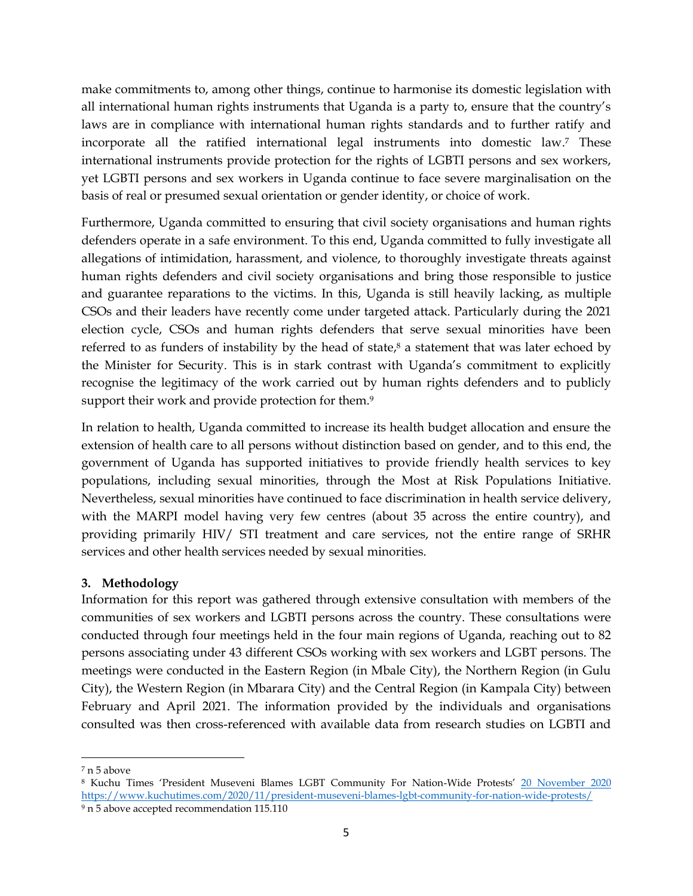make commitments to, among other things, continue to harmonise its domestic legislation with all international human rights instruments that Uganda is a party to, ensure that the country's laws are in compliance with international human rights standards and to further ratify and incorporate all the ratified international legal instruments into domestic law. <sup>7</sup> These international instruments provide protection for the rights of LGBTI persons and sex workers, yet LGBTI persons and sex workers in Uganda continue to face severe marginalisation on the basis of real or presumed sexual orientation or gender identity, or choice of work.

Furthermore, Uganda committed to ensuring that civil society organisations and human rights defenders operate in a safe environment. To this end, Uganda committed to fully investigate all allegations of intimidation, harassment, and violence, to thoroughly investigate threats against human rights defenders and civil society organisations and bring those responsible to justice and guarantee reparations to the victims. In this, Uganda is still heavily lacking, as multiple CSOs and their leaders have recently come under targeted attack. Particularly during the 2021 election cycle, CSOs and human rights defenders that serve sexual minorities have been referred to as funders of instability by the head of state, <sup>8</sup> a statement that was later echoed by the Minister for Security. This is in stark contrast with Uganda's commitment to explicitly recognise the legitimacy of the work carried out by human rights defenders and to publicly support their work and provide protection for them. 9

In relation to health, Uganda committed to increase its health budget allocation and ensure the extension of health care to all persons without distinction based on gender, and to this end, the government of Uganda has supported initiatives to provide friendly health services to key populations, including sexual minorities, through the Most at Risk Populations Initiative. Nevertheless, sexual minorities have continued to face discrimination in health service delivery, with the MARPI model having very few centres (about 35 across the entire country), and providing primarily HIV/ STI treatment and care services, not the entire range of SRHR services and other health services needed by sexual minorities.

# <span id="page-4-0"></span>**3. Methodology**

Information for this report was gathered through extensive consultation with members of the communities of sex workers and LGBTI persons across the country. These consultations were conducted through four meetings held in the four main regions of Uganda, reaching out to 82 persons associating under 43 different CSOs working with sex workers and LGBT persons. The meetings were conducted in the Eastern Region (in Mbale City), the Northern Region (in Gulu City), the Western Region (in Mbarara City) and the Central Region (in Kampala City) between February and April 2021. The information provided by the individuals and organisations consulted was then cross-referenced with available data from research studies on LGBTI and

 $\overline{\phantom{a}}$ <sup>7</sup> n 5 above

<sup>8</sup> Kuchu Times 'President Museveni Blames LGBT Community For Nation-Wide Protests' [20 November 2020](https://www.kuchutimes.com/2020/11/president-museveni-blames-lgbt-community-for-nation-wide-protests/) <https://www.kuchutimes.com/2020/11/president-museveni-blames-lgbt-community-for-nation-wide-protests/> <sup>9</sup> n 5 above accepted recommendation 115.110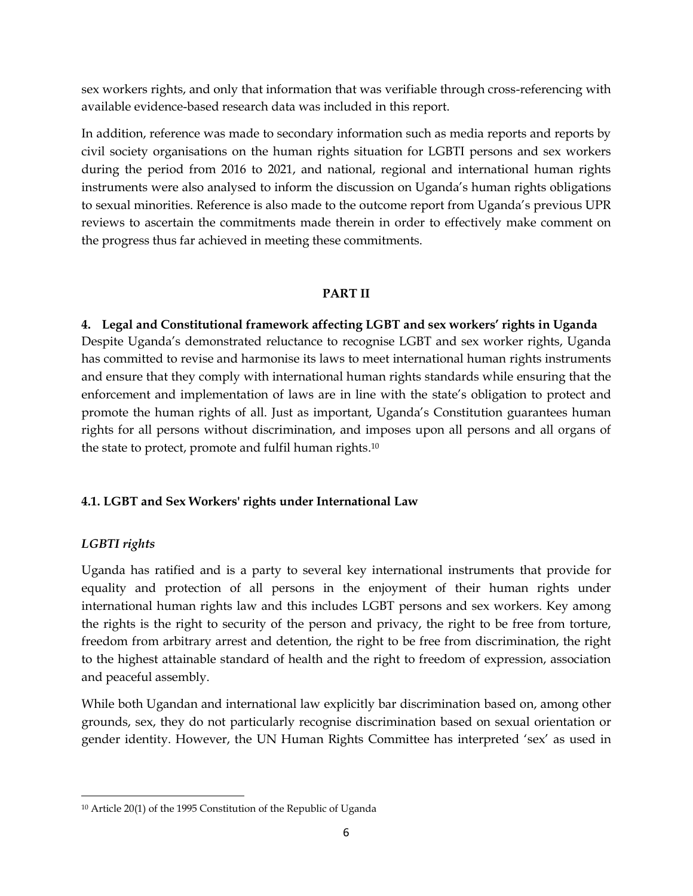sex workers rights, and only that information that was verifiable through cross-referencing with available evidence-based research data was included in this report.

In addition, reference was made to secondary information such as media reports and reports by civil society organisations on the human rights situation for LGBTI persons and sex workers during the period from 2016 to 2021, and national, regional and international human rights instruments were also analysed to inform the discussion on Uganda's human rights obligations to sexual minorities. Reference is also made to the outcome report from Uganda's previous UPR reviews to ascertain the commitments made therein in order to effectively make comment on the progress thus far achieved in meeting these commitments.

# **PART II**

<span id="page-5-0"></span>**4. Legal and Constitutional framework affecting LGBT and sex workers' rights in Uganda** Despite Uganda's demonstrated reluctance to recognise LGBT and sex worker rights, Uganda has committed to revise and harmonise its laws to meet international human rights instruments and ensure that they comply with international human rights standards while ensuring that the enforcement and implementation of laws are in line with the state's obligation to protect and promote the human rights of all. Just as important, Uganda's Constitution guarantees human rights for all persons without discrimination, and imposes upon all persons and all organs of the state to protect, promote and fulfil human rights. 10

# <span id="page-5-1"></span>**4.1. LGBT and Sex Workers' rights under International Law**

# *LGBTI rights*

 $\overline{\phantom{a}}$ 

Uganda has ratified and is a party to several key international instruments that provide for equality and protection of all persons in the enjoyment of their human rights under international human rights law and this includes LGBT persons and sex workers. Key among the rights is the right to security of the person and privacy, the right to be free from torture, freedom from arbitrary arrest and detention, the right to be free from discrimination, the right to the highest attainable standard of health and the right to freedom of expression, association and peaceful assembly.

While both Ugandan and international law explicitly bar discrimination based on, among other grounds, sex, they do not particularly recognise discrimination based on sexual orientation or gender identity. However, the UN Human Rights Committee has interpreted 'sex' as used in

<sup>10</sup> Article 20(1) of the 1995 Constitution of the Republic of Uganda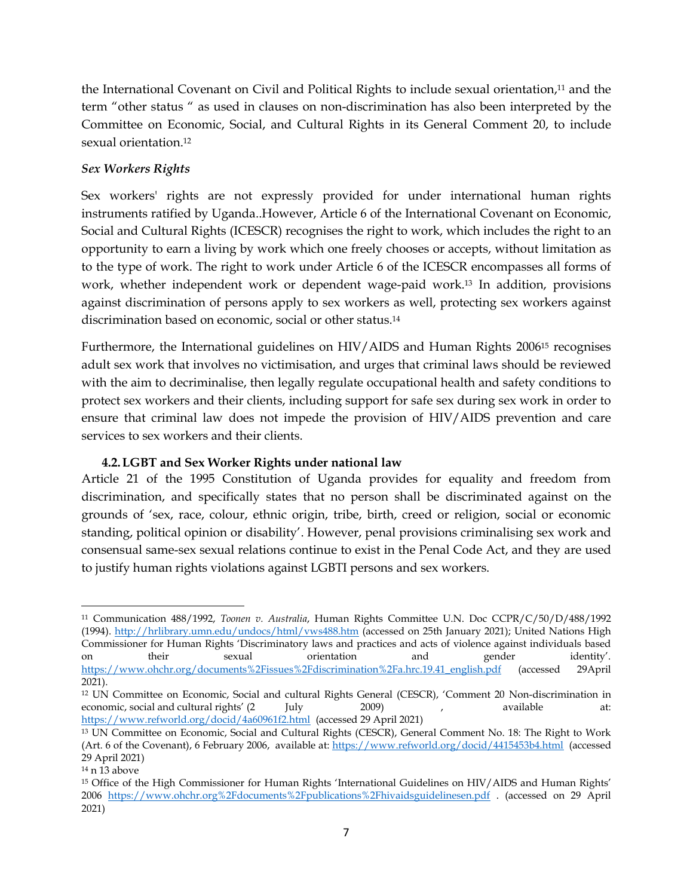the International Covenant on Civil and Political Rights to include sexual orientation,<sup>11</sup> and the term "other status " as used in clauses on non-discrimination has also been interpreted by the Committee on Economic, Social, and Cultural Rights in its General Comment 20, to include sexual orientation. 12

# *Sex Workers Rights*

Sex workers' rights are not expressly provided for under international human rights instruments ratified by Uganda..However, Article 6 of the International Covenant on Economic, Social and Cultural Rights (ICESCR) recognises the right to work, which includes the right to an opportunity to earn a living by work which one freely chooses or accepts, without limitation as to the type of work. The right to work under Article 6 of the ICESCR encompasses all forms of work, whether independent work or dependent wage-paid work. <sup>13</sup> In addition, provisions against discrimination of persons apply to sex workers as well, protecting sex workers against discrimination based on economic, social or other status. 14

Furthermore, the International guidelines on HIV/AIDS and Human Rights 2006<sup>15</sup> recognises adult sex work that involves no victimisation, and urges that criminal laws should be reviewed with the aim to decriminalise, then legally regulate occupational health and safety conditions to protect sex workers and their clients, including support for safe sex during sex work in order to ensure that criminal law does not impede the provision of HIV/AIDS prevention and care services to sex workers and their clients.

# **4.2.LGBT and Sex Worker Rights under national law**

<span id="page-6-0"></span>Article 21 of the 1995 Constitution of Uganda provides for equality and freedom from discrimination, and specifically states that no person shall be discriminated against on the grounds of 'sex, race, colour, ethnic origin, tribe, birth, creed or religion, social or economic standing, political opinion or disability'. However, penal provisions criminalising sex work and consensual same-sex sexual relations continue to exist in the Penal Code Act, and they are used to justify human rights violations against LGBTI persons and sex workers.

 $\overline{a}$ <sup>11</sup> Communication 488/1992, *Toonen v. Australia*, Human Rights Committee U.N. Doc CCPR/C/50/D/488/1992 (1994).<http://hrlibrary.umn.edu/undocs/html/vws488.htm> (accessed on 25th January 2021); United Nations High Commissioner for Human Rights 'Discriminatory laws and practices and acts of violence against individuals based on their sexual orientation and gender identity'. [https://www.ohchr.org/documents%2Fissues%2Fdiscrimination%2Fa.hrc.19.41\\_english.pdf](https://www.ohchr.org/documents%2Fissues%2Fdiscrimination%2Fa.hrc.19.41_english.pdf) (accessed 29April 2021).

<sup>12</sup> UN Committee on Economic, Social and cultural Rights General (CESCR), 'Comment 20 Non-discrimination in economic, social and cultural rights' (2 July 2009) , available attached at a variable at  $\frac{2009}{\pi}$  , available <https://www.refworld.org/docid/4a60961f2.html> (accessed 29 April 2021)

<sup>13</sup> UN Committee on Economic, Social and Cultural Rights (CESCR), General Comment No. 18: The Right to Work (Art. 6 of the Covenant), 6 February 2006, available at[: https://www.refworld.org/docid/4415453b4.html](https://www.refworld.org/docid/4415453b4.html) (accessed 29 April 2021)

<sup>14</sup> n 13 above

<sup>15</sup> Office of the High Commissioner for Human Rights 'International Guidelines on HIV/AIDS and Human Rights' 2006 https://www.ohchr.org%2Fdocuments%2Fpublications%2Fhivaidsguidelinesen.pdf . (accessed on 29 April 2021)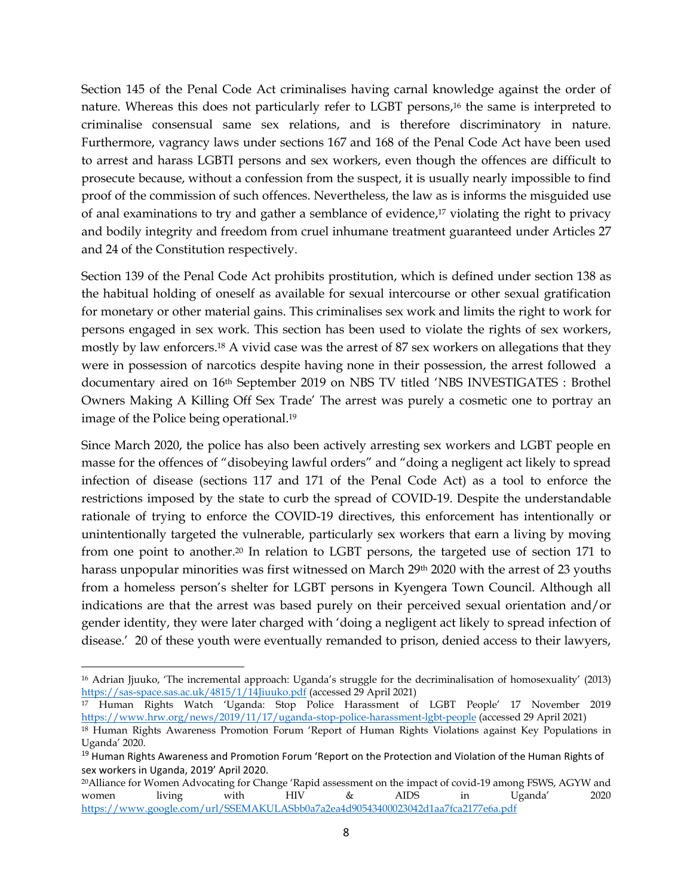Section 145 of the Penal Code Act criminalises having carnal knowledge against the order of nature. Whereas this does not particularly refer to LGBT persons, <sup>16</sup> the same is interpreted to criminalise consensual same sex relations, and is therefore discriminatory in nature. Furthermore, vagrancy laws under sections 167 and 168 of the Penal Code Act have been used to arrest and harass LGBTI persons and sex workers, even though the offences are difficult to prosecute because, without a confession from the suspect, it is usually nearly impossible to find proof of the commission of such offences. Nevertheless, the law as is informs the misguided use of anal examinations to try and gather a semblance of evidence, <sup>17</sup> violating the right to privacy and bodily integrity and freedom from cruel inhumane treatment guaranteed under Articles 27 and 24 of the Constitution respectively.

Section 139 of the Penal Code Act prohibits prostitution, which is defined under section 138 as the habitual holding of oneself as available for sexual intercourse or other sexual gratification for monetary or other material gains. This criminalises sex work and limits the right to work for persons engaged in sex work. This section has been used to violate the rights of sex workers, mostly by law enforcers.<sup>18</sup> A vivid case was the arrest of 87 sex workers on allegations that they were in possession of narcotics despite having none in their possession, the arrest followed a documentary aired on 16th September 2019 on NBS TV titled 'NBS INVESTIGATES : Brothel Owners Making A Killing Off Sex Trade' The arrest was purely a cosmetic one to portray an image of the Police being operational. 19

Since March 2020, the police has also been actively arresting sex workers and LGBT people en masse for the offences of "disobeying lawful orders" and "doing a negligent act likely to spread infection of disease (sections 117 and 171 of the Penal Code Act) as a tool to enforce the restrictions imposed by the state to curb the spread of COVID-19. Despite the understandable rationale of trying to enforce the COVID-19 directives, this enforcement has intentionally or unintentionally targeted the vulnerable, particularly sex workers that earn a living by moving from one point to another. <sup>20</sup> In relation to LGBT persons, the targeted use of section 171 to harass unpopular minorities was first witnessed on March 29<sup>th</sup> 2020 with the arrest of 23 youths from a homeless person's shelter for LGBT persons in Kyengera Town Council. Although all indications are that the arrest was based purely on their perceived sexual orientation and/or gender identity, they were later charged with 'doing a negligent act likely to spread infection of disease.' 20 of these youth were eventually remanded to prison, denied access to their lawyers,

<sup>16</sup> Adrian Jjuuko, 'The incremental approach: Uganda's struggle for the decriminalisation of homosexuality' (2013) <https://sas-space.sas.ac.uk/4815/1/14Jiuuko.pdf> (accessed 29 April 2021)

<sup>17</sup> Human Rights Watch 'Uganda: Stop Police Harassment of LGBT People' 17 November 2019 <https://www.hrw.org/news/2019/11/17/uganda-stop-police-harassment-lgbt-people> (accessed 29 April 2021)

<sup>18</sup> Human Rights Awareness Promotion Forum 'Report of Human Rights Violations against Key Populations in Uganda' 2020.

<sup>&</sup>lt;sup>19</sup> Human Rights Awareness and Promotion Forum 'Report on the Protection and Violation of the Human Rights of sex workers in Uganda, 2019' April 2020.

<sup>20</sup>Alliance for Women Advocating for Change 'Rapid assessment on the impact of covid-19 among FSWS, AGYW and women living with HIV & AIDS in Uganda' 2020 <https://www.google.com/url/SSEMAKULASbb0a7a2ea4d90543400023042d1aa7fca2177e6a.pdf>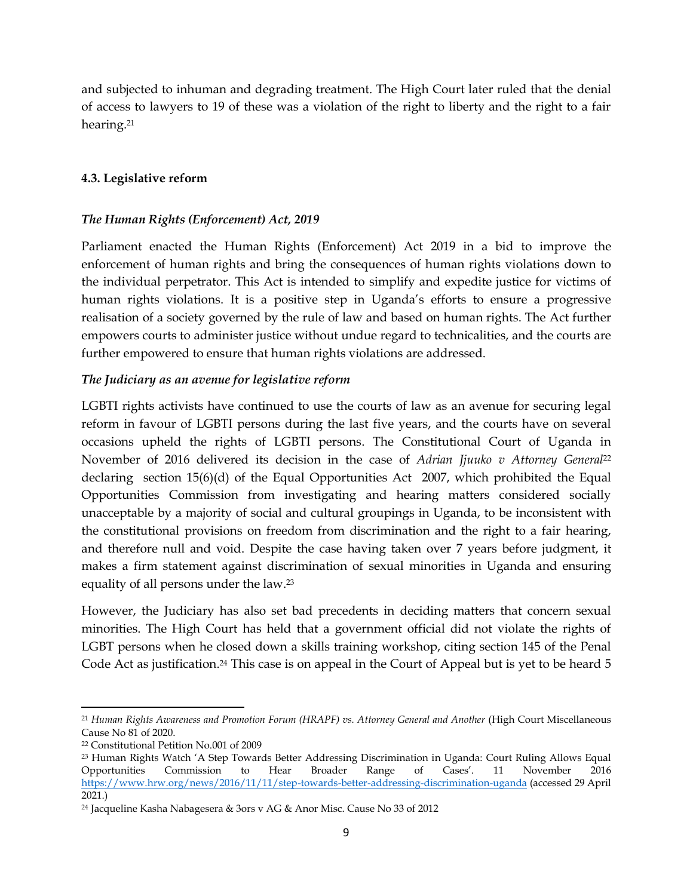and subjected to inhuman and degrading treatment. The High Court later ruled that the denial of access to lawyers to 19 of these was a violation of the right to liberty and the right to a fair hearing.<sup>21</sup>

# <span id="page-8-0"></span>**4.3. Legislative reform**

#### *The Human Rights (Enforcement) Act, 2019*

Parliament enacted the Human Rights (Enforcement) Act 2019 in a bid to improve the enforcement of human rights and bring the consequences of human rights violations down to the individual perpetrator. This Act is intended to simplify and expedite justice for victims of human rights violations. It is a positive step in Uganda's efforts to ensure a progressive realisation of a society governed by the rule of law and based on human rights. The Act further empowers courts to administer justice without undue regard to technicalities, and the courts are further empowered to ensure that human rights violations are addressed.

#### *The Judiciary as an avenue for legislative reform*

LGBTI rights activists have continued to use the courts of law as an avenue for securing legal reform in favour of LGBTI persons during the last five years, and the courts have on several occasions upheld the rights of LGBTI persons. The Constitutional Court of Uganda in November of 2016 delivered its decision in the case of *Adrian Jjuuko v Attorney General*<sup>22</sup> declaring section 15(6)(d) of the Equal Opportunities Act 2007, which prohibited the Equal Opportunities Commission from investigating and hearing matters considered socially unacceptable by a majority of social and cultural groupings in Uganda, to be inconsistent with the constitutional provisions on freedom from discrimination and the right to a fair hearing, and therefore null and void. Despite the case having taken over 7 years before judgment, it makes a firm statement against discrimination of sexual minorities in Uganda and ensuring equality of all persons under the law. 23

However, the Judiciary has also set bad precedents in deciding matters that concern sexual minorities. The High Court has held that a government official did not violate the rights of LGBT persons when he closed down a skills training workshop, citing section 145 of the Penal Code Act as justification.<sup>24</sup> This case is on appeal in the Court of Appeal but is yet to be heard 5

<sup>21</sup> *Human Rights Awareness and Promotion Forum (HRAPF) vs. Attorney General and Another* (High Court Miscellaneous Cause No 81 of 2020.

<sup>22</sup> Constitutional Petition No.001 of 2009

<sup>23</sup> Human Rights Watch 'A Step Towards Better Addressing Discrimination in Uganda: Court Ruling Allows Equal Opportunities Commission to Hear Broader Range of Cases'. 11 November 2016 <https://www.hrw.org/news/2016/11/11/step-towards-better-addressing-discrimination-uganda> (accessed 29 April 2021.)

<sup>24</sup> Jacqueline Kasha Nabagesera & 3ors v AG & Anor Misc. Cause No 33 of 2012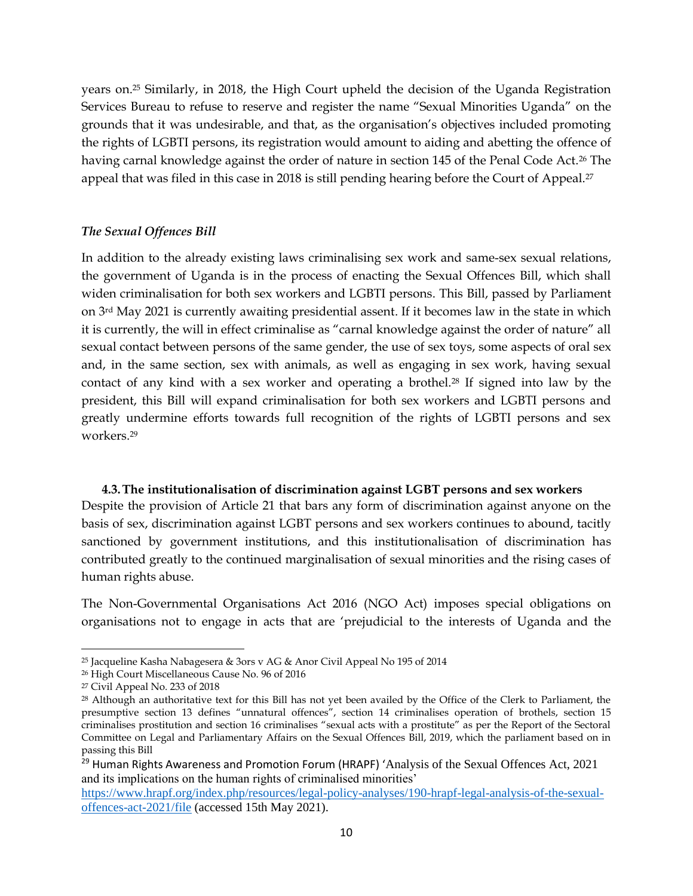years on.<sup>25</sup> Similarly, in 2018, the High Court upheld the decision of the Uganda Registration Services Bureau to refuse to reserve and register the name "Sexual Minorities Uganda" on the grounds that it was undesirable, and that, as the organisation's objectives included promoting the rights of LGBTI persons, its registration would amount to aiding and abetting the offence of having carnal knowledge against the order of nature in section 145 of the Penal Code Act.<sup>26</sup> The appeal that was filed in this case in 2018 is still pending hearing before the Court of Appeal.<sup>27</sup>

#### *The Sexual Offences Bill*

In addition to the already existing laws criminalising sex work and same-sex sexual relations, the government of Uganda is in the process of enacting the Sexual Offences Bill, which shall widen criminalisation for both sex workers and LGBTI persons. This Bill, passed by Parliament on 3rd May 2021 is currently awaiting presidential assent. If it becomes law in the state in which it is currently, the will in effect criminalise as "carnal knowledge against the order of nature" all sexual contact between persons of the same gender, the use of sex toys, some aspects of oral sex and, in the same section, sex with animals, as well as engaging in sex work, having sexual contact of any kind with a sex worker and operating a brothel.<sup>28</sup> If signed into law by the president, this Bill will expand criminalisation for both sex workers and LGBTI persons and greatly undermine efforts towards full recognition of the rights of LGBTI persons and sex workers.<sup>29</sup>

#### **4.3.The institutionalisation of discrimination against LGBT persons and sex workers**

<span id="page-9-0"></span>Despite the provision of Article 21 that bars any form of discrimination against anyone on the basis of sex, discrimination against LGBT persons and sex workers continues to abound, tacitly sanctioned by government institutions, and this institutionalisation of discrimination has contributed greatly to the continued marginalisation of sexual minorities and the rising cases of human rights abuse.

The Non-Governmental Organisations Act 2016 (NGO Act) imposes special obligations on organisations not to engage in acts that are 'prejudicial to the interests of Uganda and the

<sup>25</sup> Jacqueline Kasha Nabagesera & 3ors v AG & Anor Civil Appeal No 195 of 2014

<sup>26</sup> High Court Miscellaneous Cause No. 96 of 2016

<sup>27</sup> Civil Appeal No. 233 of 2018

<sup>28</sup> Although an authoritative text for this Bill has not yet been availed by the Office of the Clerk to Parliament, the presumptive section 13 defines "unnatural offences", section 14 criminalises operation of brothels, section 15 criminalises prostitution and section 16 criminalises "sexual acts with a prostitute" as per the Report of the Sectoral Committee on Legal and Parliamentary Affairs on the Sexual Offences Bill, 2019, which the parliament based on in passing this Bill

<sup>&</sup>lt;sup>29</sup> Human Rights Awareness and Promotion Forum (HRAPF) 'Analysis of the Sexual Offences Act, 2021 and its implications on the human rights of criminalised minorities'

[https://www.hrapf.org/index.php/resources/legal-policy-analyses/190-hrapf-legal-analysis-of-the-sexual](https://www.hrapf.org/index.php/resources/legal-policy-analyses/190-hrapf-legal-analysis-of-the-sexual-offences-act-2021/file)[offences-act-2021/file](https://www.hrapf.org/index.php/resources/legal-policy-analyses/190-hrapf-legal-analysis-of-the-sexual-offences-act-2021/file) (accessed 15th May 2021).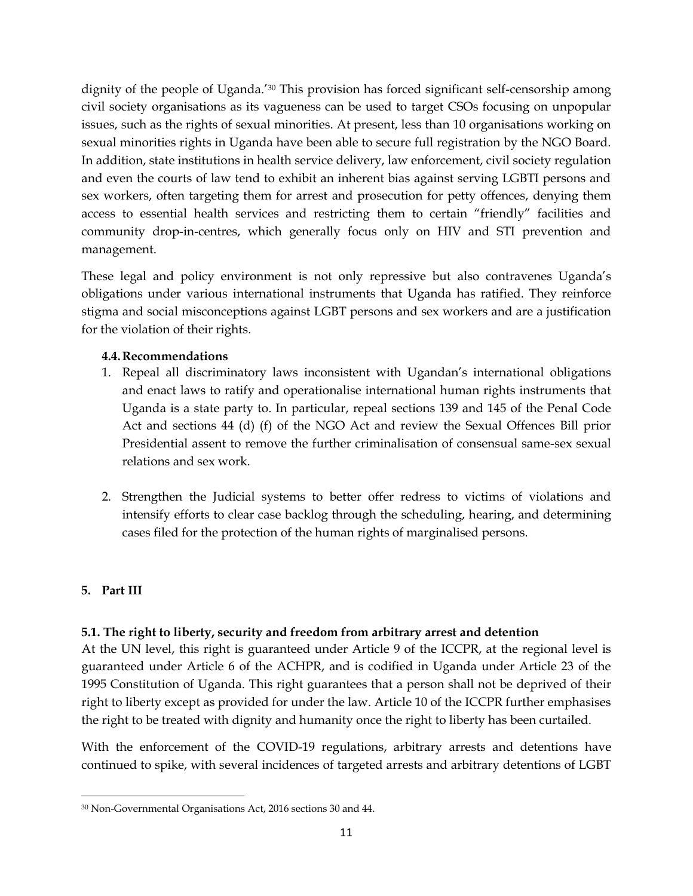dignity of the people of Uganda.'<sup>30</sup> This provision has forced significant self-censorship among civil society organisations as its vagueness can be used to target CSOs focusing on unpopular issues, such as the rights of sexual minorities. At present, less than 10 organisations working on sexual minorities rights in Uganda have been able to secure full registration by the NGO Board. In addition, state institutions in health service delivery, law enforcement, civil society regulation and even the courts of law tend to exhibit an inherent bias against serving LGBTI persons and sex workers, often targeting them for arrest and prosecution for petty offences, denying them access to essential health services and restricting them to certain "friendly" facilities and community drop-in-centres, which generally focus only on HIV and STI prevention and management.

These legal and policy environment is not only repressive but also contravenes Uganda's obligations under various international instruments that Uganda has ratified. They reinforce stigma and social misconceptions against LGBT persons and sex workers and are a justification for the violation of their rights.

# <span id="page-10-0"></span>**4.4.Recommendations**

- 1. Repeal all discriminatory laws inconsistent with Ugandan's international obligations and enact laws to ratify and operationalise international human rights instruments that Uganda is a state party to. In particular, repeal sections 139 and 145 of the Penal Code Act and sections 44 (d) (f) of the NGO Act and review the Sexual Offences Bill prior Presidential assent to remove the further criminalisation of consensual same-sex sexual relations and sex work.
- 2. Strengthen the Judicial systems to better offer redress to victims of violations and intensify efforts to clear case backlog through the scheduling, hearing, and determining cases filed for the protection of the human rights of marginalised persons.

# <span id="page-10-1"></span>**5. Part III**

# <span id="page-10-2"></span>**5.1. The right to liberty, security and freedom from arbitrary arrest and detention**

At the UN level, this right is guaranteed under Article 9 of the ICCPR, at the regional level is guaranteed under Article 6 of the ACHPR, and is codified in Uganda under Article 23 of the 1995 Constitution of Uganda. This right guarantees that a person shall not be deprived of their right to liberty except as provided for under the law. Article 10 of the ICCPR further emphasises the right to be treated with dignity and humanity once the right to liberty has been curtailed.

With the enforcement of the COVID-19 regulations, arbitrary arrests and detentions have continued to spike, with several incidences of targeted arrests and arbitrary detentions of LGBT

 $\overline{\phantom{a}}$ <sup>30</sup> Non-Governmental Organisations Act, 2016 sections 30 and 44.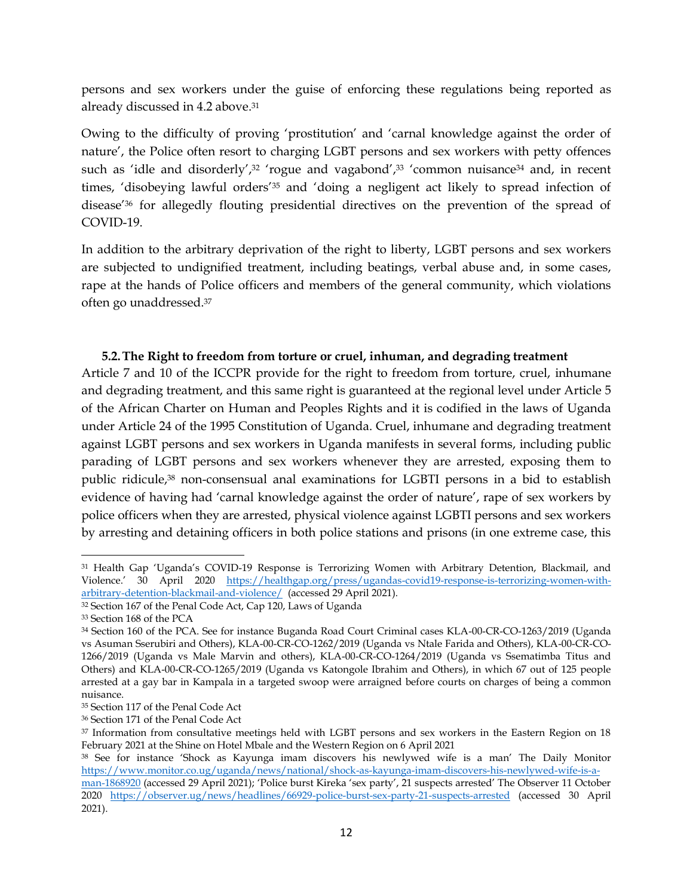persons and sex workers under the guise of enforcing these regulations being reported as already discussed in 4.2 above. 31

Owing to the difficulty of proving 'prostitution' and 'carnal knowledge against the order of nature', the Police often resort to charging LGBT persons and sex workers with petty offences such as 'idle and disorderly',<sup>32</sup> 'rogue and vagabond',<sup>33</sup> 'common nuisance<sup>34</sup> and, in recent times, 'disobeying lawful orders' <sup>35</sup> and 'doing a negligent act likely to spread infection of disease' <sup>36</sup> for allegedly flouting presidential directives on the prevention of the spread of COVID-19.

In addition to the arbitrary deprivation of the right to liberty, LGBT persons and sex workers are subjected to undignified treatment, including beatings, verbal abuse and, in some cases, rape at the hands of Police officers and members of the general community, which violations often go unaddressed.<sup>37</sup>

#### <span id="page-11-0"></span>**5.2.The Right to freedom from torture or cruel, inhuman, and degrading treatment**

Article 7 and 10 of the ICCPR provide for the right to freedom from torture, cruel, inhumane and degrading treatment, and this same right is guaranteed at the regional level under Article 5 of the African Charter on Human and Peoples Rights and it is codified in the laws of Uganda under Article 24 of the 1995 Constitution of Uganda. Cruel, inhumane and degrading treatment against LGBT persons and sex workers in Uganda manifests in several forms, including public parading of LGBT persons and sex workers whenever they are arrested, exposing them to public ridicule, <sup>38</sup> non-consensual anal examinations for LGBTI persons in a bid to establish evidence of having had 'carnal knowledge against the order of nature', rape of sex workers by police officers when they are arrested, physical violence against LGBTI persons and sex workers by arresting and detaining officers in both police stations and prisons (in one extreme case, this

 $\overline{\phantom{a}}$ <sup>31</sup> Health Gap 'Uganda's COVID-19 Response is Terrorizing Women with Arbitrary Detention, Blackmail, and Violence.' 30 April 2020 [https://healthgap.org/press/ugandas-covid19-response-is-terrorizing-women-with](https://healthgap.org/press/ugandas-covid19-response-is-terrorizing-women-with-arbitrary-detention-blackmail-and-violence/)[arbitrary-detention-blackmail-and-violence/](https://healthgap.org/press/ugandas-covid19-response-is-terrorizing-women-with-arbitrary-detention-blackmail-and-violence/) (accessed 29 April 2021).

<sup>&</sup>lt;sup>32</sup> Section 167 of the Penal Code Act, Cap 120, Laws of Uganda

<sup>33</sup> Section 168 of the PCA

<sup>34</sup> Section 160 of the PCA. See for instance Buganda Road Court Criminal cases KLA-00-CR-CO-1263/2019 (Uganda vs Asuman Sserubiri and Others), KLA-00-CR-CO-1262/2019 (Uganda vs Ntale Farida and Others), KLA-00-CR-CO-1266/2019 (Uganda vs Male Marvin and others), KLA-00-CR-CO-1264/2019 (Uganda vs Ssematimba Titus and Others) and KLA-00-CR-CO-1265/2019 (Uganda vs Katongole Ibrahim and Others), in which 67 out of 125 people arrested at a gay bar in Kampala in a targeted swoop were arraigned before courts on charges of being a common nuisance.

<sup>35</sup> Section 117 of the Penal Code Act

<sup>36</sup> Section 171 of the Penal Code Act

<sup>37</sup> Information from consultative meetings held with LGBT persons and sex workers in the Eastern Region on 18 February 2021 at the Shine on Hotel Mbale and the Western Region on 6 April 2021

<sup>38</sup> See for instance 'Shock as Kayunga imam discovers his newlywed wife is a man' The Daily Monitor [https://www.monitor.co.ug/uganda/news/national/shock-as-kayunga-imam-discovers-his-newlywed-wife-is-a-](https://www.monitor.co.ug/uganda/news/national/shock-as-kayunga-imam-discovers-his-newlywed-wife-is-a-man-1868920)

[man-1868920](https://www.monitor.co.ug/uganda/news/national/shock-as-kayunga-imam-discovers-his-newlywed-wife-is-a-man-1868920) (accessed 29 April 2021); 'Police burst Kireka 'sex party', 21 suspects arrested' The Observer 11 October 2020 <https://observer.ug/news/headlines/66929-police-burst-sex-party-21-suspects-arrested> (accessed 30 April 2021).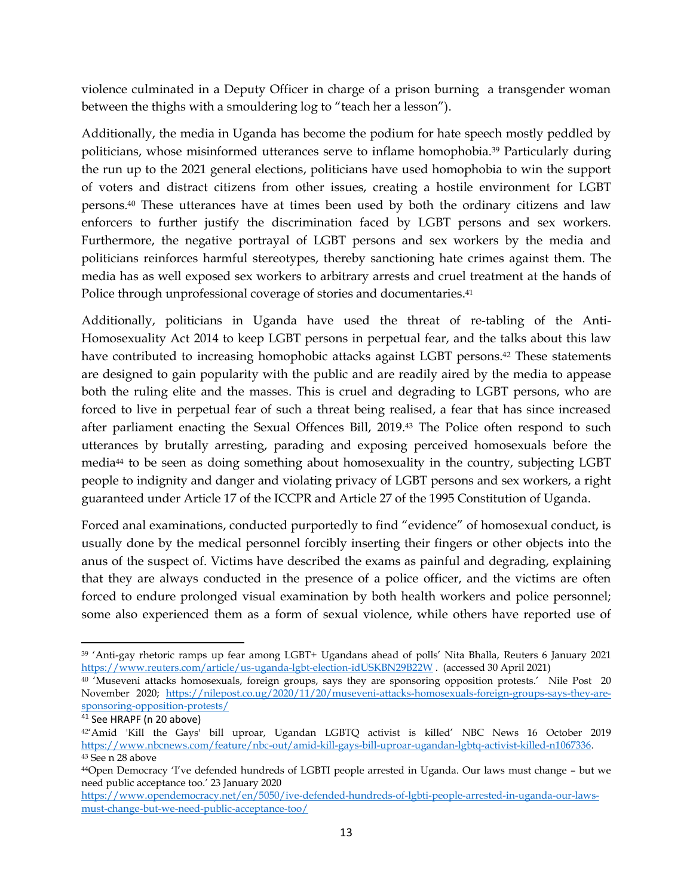violence culminated in a Deputy Officer in charge of a prison burning a transgender woman between the thighs with a smouldering log to "teach her a lesson").

Additionally, the media in Uganda has become the podium for hate speech mostly peddled by politicians, whose misinformed utterances serve to inflame homophobia. <sup>39</sup> Particularly during the run up to the 2021 general elections, politicians have used homophobia to win the support of voters and distract citizens from other issues, creating a hostile environment for LGBT persons. <sup>40</sup> These utterances have at times been used by both the ordinary citizens and law enforcers to further justify the discrimination faced by LGBT persons and sex workers. Furthermore, the negative portrayal of LGBT persons and sex workers by the media and politicians reinforces harmful stereotypes, thereby sanctioning hate crimes against them. The media has as well exposed sex workers to arbitrary arrests and cruel treatment at the hands of Police through unprofessional coverage of stories and documentaries. 41

Additionally, politicians in Uganda have used the threat of re-tabling of the Anti-Homosexuality Act 2014 to keep LGBT persons in perpetual fear, and the talks about this law have contributed to increasing homophobic attacks against LGBT persons. <sup>42</sup> These statements are designed to gain popularity with the public and are readily aired by the media to appease both the ruling elite and the masses. This is cruel and degrading to LGBT persons, who are forced to live in perpetual fear of such a threat being realised, a fear that has since increased after parliament enacting the Sexual Offences Bill, 2019. <sup>43</sup> The Police often respond to such utterances by brutally arresting, parading and exposing perceived homosexuals before the media<sup>44</sup> to be seen as doing something about homosexuality in the country, subjecting LGBT people to indignity and danger and violating privacy of LGBT persons and sex workers, a right guaranteed under Article 17 of the ICCPR and Article 27 of the 1995 Constitution of Uganda.

Forced anal examinations, conducted purportedly to find "evidence" of homosexual conduct, is usually done by the medical personnel forcibly inserting their fingers or other objects into the anus of the suspect of. Victims have described the exams as painful and degrading, explaining that they are always conducted in the presence of a police officer, and the victims are often forced to endure prolonged visual examination by both health workers and police personnel; some also experienced them as a form of sexual violence, while others have reported use of

 $\overline{\phantom{a}}$ <sup>39</sup> 'Anti-gay rhetoric ramps up fear among LGBT+ Ugandans ahead of polls' Nita Bhalla, Reuters 6 January 2021 <https://www.reuters.com/article/us-uganda-lgbt-election-idUSKBN29B22W> . (accessed 30 April 2021)

<sup>&</sup>lt;sup>40</sup> 'Museveni attacks homosexuals, foreign groups, says they are sponsoring opposition protests.' Nile Post 20 November 2020; [https://nilepost.co.ug/2020/11/20/museveni-attacks-homosexuals-foreign-groups-says-they-are](https://nilepost.co.ug/2020/11/20/museveni-attacks-homosexuals-foreign-groups-says-they-are-sponsoring-opposition-protests/)[sponsoring-opposition-protests/](https://nilepost.co.ug/2020/11/20/museveni-attacks-homosexuals-foreign-groups-says-they-are-sponsoring-opposition-protests/)

 $41$  See HRAPF (n 20 above)

<sup>42</sup>'Amid 'Kill the Gays' bill uproar, Ugandan LGBTQ activist is killed' NBC News 16 October 2019 [https://www.nbcnews.com/feature/nbc-out/amid-kill-gays-bill-uproar-ugandan-lgbtq-activist-killed-n1067336.](https://www.nbcnews.com/feature/nbc-out/amid-kill-gays-bill-uproar-ugandan-lgbtq-activist-killed-n1067336) <sup>43</sup> See n 28 above

<sup>44</sup>Open Democracy 'I've defended hundreds of LGBTI people arrested in Uganda. Our laws must change – but we need public acceptance too.' 23 January 2020

[https://www.opendemocracy.net/en/5050/ive-defended-hundreds-of-lgbti-people-arrested-in-uganda-our-laws](https://www.opendemocracy.net/en/5050/ive-defended-hundreds-of-lgbti-people-arrested-in-uganda-our-laws-must-change-but-we-need-public-acceptance-too/)[must-change-but-we-need-public-acceptance-too/](https://www.opendemocracy.net/en/5050/ive-defended-hundreds-of-lgbti-people-arrested-in-uganda-our-laws-must-change-but-we-need-public-acceptance-too/)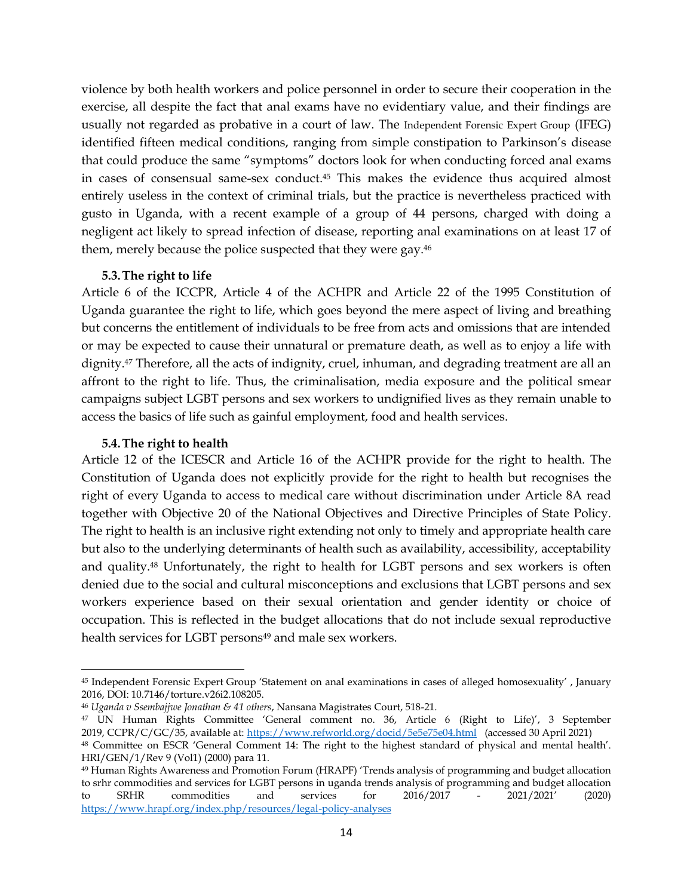violence by both health workers and police personnel in order to secure their cooperation in the exercise, all despite the fact that anal exams have no evidentiary value, and their findings are usually not regarded as probative in a court of law. The Independent Forensic Expert Group (IFEG) identified fifteen medical conditions, ranging from simple constipation to Parkinson's disease that could produce the same "symptoms" doctors look for when conducting forced anal exams in cases of consensual same-sex conduct.<sup>45</sup> This makes the evidence thus acquired almost entirely useless in the context of criminal trials, but the practice is nevertheless practiced with gusto in Uganda, with a recent example of a group of 44 persons, charged with doing a negligent act likely to spread infection of disease, reporting anal examinations on at least 17 of them, merely because the police suspected that they were gay. 46

#### **5.3.The right to life**

<span id="page-13-0"></span>Article 6 of the ICCPR, Article 4 of the ACHPR and Article 22 of the 1995 Constitution of Uganda guarantee the right to life, which goes beyond the mere aspect of living and breathing but concerns the entitlement of individuals to be free from acts and omissions that are intended or may be expected to cause their unnatural or premature death, as well as to enjoy a life with dignity. <sup>47</sup> Therefore, all the acts of indignity, cruel, inhuman, and degrading treatment are all an affront to the right to life. Thus, the criminalisation, media exposure and the political smear campaigns subject LGBT persons and sex workers to undignified lives as they remain unable to access the basics of life such as gainful employment, food and health services.

#### **5.4.The right to health**

 $\overline{a}$ 

<span id="page-13-1"></span>Article 12 of the ICESCR and Article 16 of the ACHPR provide for the right to health. The Constitution of Uganda does not explicitly provide for the right to health but recognises the right of every Uganda to access to medical care without discrimination under Article 8A read together with Objective 20 of the National Objectives and Directive Principles of State Policy. The right to health is an inclusive right extending not only to timely and appropriate health care but also to the underlying determinants of health such as availability, accessibility, acceptability and quality.<sup>48</sup> Unfortunately, the right to health for LGBT persons and sex workers is often denied due to the social and cultural misconceptions and exclusions that LGBT persons and sex workers experience based on their sexual orientation and gender identity or choice of occupation. This is reflected in the budget allocations that do not include sexual reproductive health services for LGBT persons<sup>49</sup> and male sex workers.

<sup>45</sup> Independent Forensic Expert Group 'Statement on anal examinations in cases of alleged homosexuality' , January 2016, DOI: 10.7146/torture.v26i2.108205.

<sup>46</sup> *Uganda v Ssembajjwe Jonathan & 41 others*, Nansana Magistrates Court, 518-21.

<sup>47</sup> UN Human Rights Committee 'General comment no. 36, Article 6 (Right to Life)', 3 September 2019, CCPR/C/GC/35, available at:<https://www.refworld.org/docid/5e5e75e04.html> (accessed 30 April 2021)

<sup>48</sup> Committee on ESCR 'General Comment 14: The right to the highest standard of physical and mental health'. HRI/GEN/1/Rev 9 (Vol1) (2000) para 11.

<sup>49</sup> Human Rights Awareness and Promotion Forum (HRAPF) 'Trends analysis of programming and budget allocation to srhr commodities and services for LGBT persons in uganda trends analysis of programming and budget allocation to SRHR commodities and services for 2016/2017 - 2021/2021' (2020) <https://www.hrapf.org/index.php/resources/legal-policy-analyses>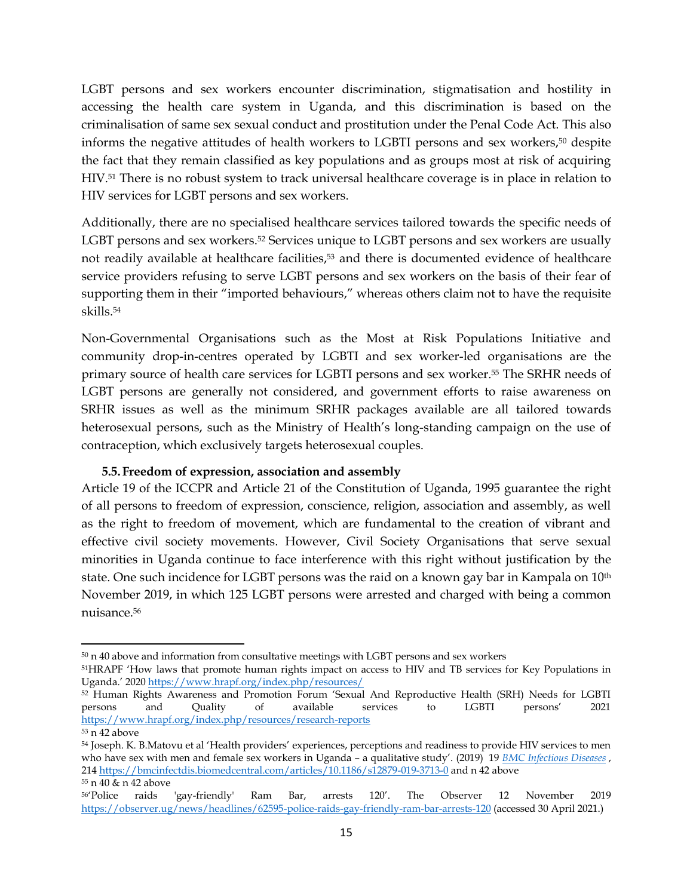LGBT persons and sex workers encounter discrimination, stigmatisation and hostility in accessing the health care system in Uganda, and this discrimination is based on the criminalisation of same sex sexual conduct and prostitution under the Penal Code Act. This also informs the negative attitudes of health workers to LGBTI persons and sex workers, <sup>50</sup> despite the fact that they remain classified as key populations and as groups most at risk of acquiring HIV.<sup>51</sup> There is no robust system to track universal healthcare coverage is in place in relation to HIV services for LGBT persons and sex workers.

Additionally, there are no specialised healthcare services tailored towards the specific needs of LGBT persons and sex workers. <sup>52</sup> Services unique to LGBT persons and sex workers are usually not readily available at healthcare facilities, <sup>53</sup> and there is documented evidence of healthcare service providers refusing to serve LGBT persons and sex workers on the basis of their fear of supporting them in their "imported behaviours," whereas others claim not to have the requisite skills. 54

Non-Governmental Organisations such as the Most at Risk Populations Initiative and community drop-in-centres operated by LGBTI and sex worker-led organisations are the primary source of health care services for LGBTI persons and sex worker. <sup>55</sup> The SRHR needs of LGBT persons are generally not considered, and government efforts to raise awareness on SRHR issues as well as the minimum SRHR packages available are all tailored towards heterosexual persons, such as the Ministry of Health's long-standing campaign on the use of contraception, which exclusively targets heterosexual couples.

#### **5.5.Freedom of expression, association and assembly**

<span id="page-14-0"></span>Article 19 of the ICCPR and Article 21 of the Constitution of Uganda, 1995 guarantee the right of all persons to freedom of expression, conscience, religion, association and assembly, as well as the right to freedom of movement, which are fundamental to the creation of vibrant and effective civil society movements. However, Civil Society Organisations that serve sexual minorities in Uganda continue to face interference with this right without justification by the state. One such incidence for LGBT persons was the raid on a known gay bar in Kampala on 10<sup>th</sup> November 2019, in which 125 LGBT persons were arrested and charged with being a common nuisance.<sup>56</sup>

l

<sup>50</sup> n 40 above and information from consultative meetings with LGBT persons and sex workers

<sup>51</sup>HRAPF 'How laws that promote human rights impact on access to HIV and TB services for Key Populations in Uganda.' 2020 <https://www.hrapf.org/index.php/resources/>

<sup>52</sup> Human Rights Awareness and Promotion Forum 'Sexual And Reproductive Health (SRH) Needs for LGBTI persons and Quality of available services to LGBTI persons' 2021 <https://www.hrapf.org/index.php/resources/research-reports>

<sup>53</sup> n 42 above

<sup>54</sup> Joseph. K. B.Matovu et al 'Health providers' experiences, perceptions and readiness to provide HIV services to men who have sex with men and female sex workers in Uganda – a qualitative study'. (2019) 19 *[BMC Infectious Diseases](https://bmcinfectdis.biomedcentral.com/)* , 214<https://bmcinfectdis.biomedcentral.com/articles/10.1186/s12879-019-3713-0> and n 42 above <sup>55</sup> n 40 & n 42 above

<sup>56</sup>'Police raids 'gay-friendly' Ram Bar, arrests 120'. The Observer 12 November 2019 <https://observer.ug/news/headlines/62595-police-raids-gay-friendly-ram-bar-arrests-120> (accessed 30 April 2021.)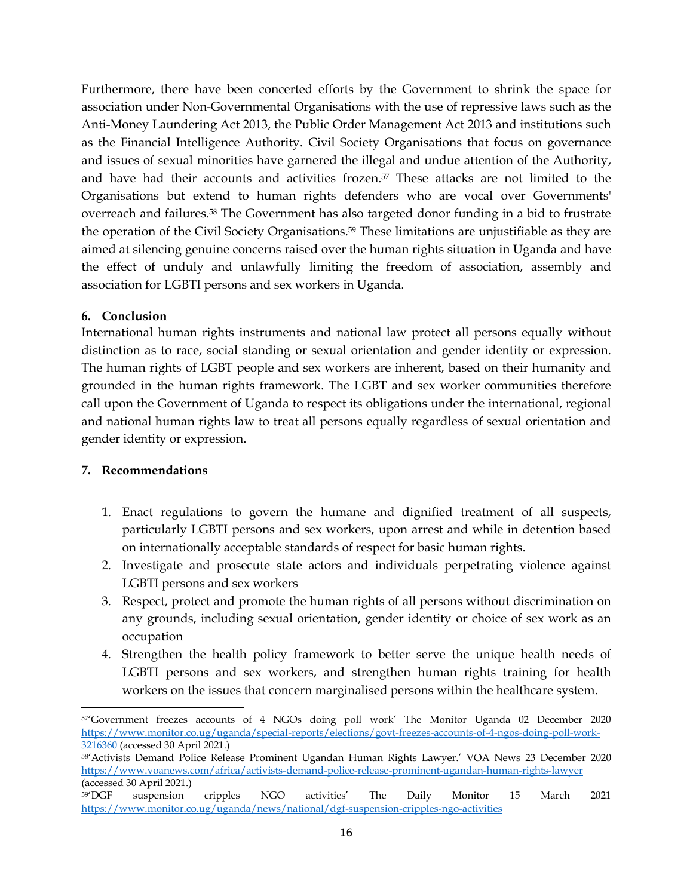Furthermore, there have been concerted efforts by the Government to shrink the space for association under Non-Governmental Organisations with the use of repressive laws such as the Anti-Money Laundering Act 2013, the Public Order Management Act 2013 and institutions such as the Financial Intelligence Authority. Civil Society Organisations that focus on governance and issues of sexual minorities have garnered the illegal and undue attention of the Authority, and have had their accounts and activities frozen. <sup>57</sup> These attacks are not limited to the Organisations but extend to human rights defenders who are vocal over Governments' overreach and failures. <sup>58</sup> The Government has also targeted donor funding in a bid to frustrate the operation of the Civil Society Organisations.<sup>59</sup> These limitations are unjustifiable as they are aimed at silencing genuine concerns raised over the human rights situation in Uganda and have the effect of unduly and unlawfully limiting the freedom of association, assembly and association for LGBTI persons and sex workers in Uganda.

# <span id="page-15-0"></span>**6. Conclusion**

International human rights instruments and national law protect all persons equally without distinction as to race, social standing or sexual orientation and gender identity or expression. The human rights of LGBT people and sex workers are inherent, based on their humanity and grounded in the human rights framework. The LGBT and sex worker communities therefore call upon the Government of Uganda to respect its obligations under the international, regional and national human rights law to treat all persons equally regardless of sexual orientation and gender identity or expression.

# <span id="page-15-1"></span>**7. Recommendations**

- 1. Enact regulations to govern the humane and dignified treatment of all suspects, particularly LGBTI persons and sex workers, upon arrest and while in detention based on internationally acceptable standards of respect for basic human rights.
- 2. Investigate and prosecute state actors and individuals perpetrating violence against LGBTI persons and sex workers
- 3. Respect, protect and promote the human rights of all persons without discrimination on any grounds, including sexual orientation, gender identity or choice of sex work as an occupation
- 4. Strengthen the health policy framework to better serve the unique health needs of LGBTI persons and sex workers, and strengthen human rights training for health workers on the issues that concern marginalised persons within the healthcare system.

<sup>57</sup>'Government freezes accounts of 4 NGOs doing poll work' The Monitor Uganda 02 December 2020 [https://www.monitor.co.ug/uganda/special-reports/elections/govt-freezes-accounts-of-4-ngos-doing-poll-work-](https://www.monitor.co.ug/uganda/special-reports/elections/govt-freezes-accounts-of-4-ngos-doing-poll-work-3216360)[3216360](https://www.monitor.co.ug/uganda/special-reports/elections/govt-freezes-accounts-of-4-ngos-doing-poll-work-3216360) (accessed 30 April 2021.)

<sup>58</sup>'Activists Demand Police Release Prominent Ugandan Human Rights Lawyer.' VOA News 23 December 2020 <https://www.voanews.com/africa/activists-demand-police-release-prominent-ugandan-human-rights-lawyer> (accessed 30 April 2021.)

<sup>59</sup>'DGF suspension cripples NGO activities' The Daily Monitor 15 March 2021 <https://www.monitor.co.ug/uganda/news/national/dgf-suspension-cripples-ngo-activities>